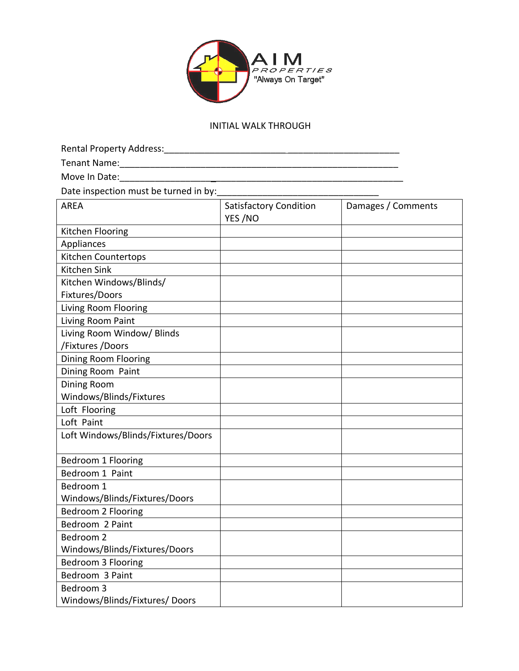

## INITIAL WALK THROUGH

| Move In Date:                         |                                          |                    |
|---------------------------------------|------------------------------------------|--------------------|
| Date inspection must be turned in by: |                                          |                    |
| <b>AREA</b>                           | <b>Satisfactory Condition</b><br>YES /NO | Damages / Comments |
| Kitchen Flooring                      |                                          |                    |
| Appliances                            |                                          |                    |
| Kitchen Countertops                   |                                          |                    |
| Kitchen Sink                          |                                          |                    |
| Kitchen Windows/Blinds/               |                                          |                    |
| Fixtures/Doors                        |                                          |                    |
| Living Room Flooring                  |                                          |                    |
| Living Room Paint                     |                                          |                    |
| Living Room Window/ Blinds            |                                          |                    |
| /Fixtures /Doors                      |                                          |                    |
| Dining Room Flooring                  |                                          |                    |
| Dining Room Paint                     |                                          |                    |
| Dining Room                           |                                          |                    |
| Windows/Blinds/Fixtures               |                                          |                    |
| Loft Flooring                         |                                          |                    |
| Loft Paint                            |                                          |                    |
| Loft Windows/Blinds/Fixtures/Doors    |                                          |                    |
| Bedroom 1 Flooring                    |                                          |                    |
| Bedroom 1 Paint                       |                                          |                    |
| Bedroom 1                             |                                          |                    |
| Windows/Blinds/Fixtures/Doors         |                                          |                    |
| Bedroom 2 Flooring                    |                                          |                    |
| Bedroom 2 Paint                       |                                          |                    |
| Bedroom 2                             |                                          |                    |
| Windows/Blinds/Fixtures/Doors         |                                          |                    |
| Bedroom 3 Flooring                    |                                          |                    |
| Bedroom 3 Paint                       |                                          |                    |
| Bedroom 3                             |                                          |                    |
| Windows/Blinds/Fixtures/ Doors        |                                          |                    |